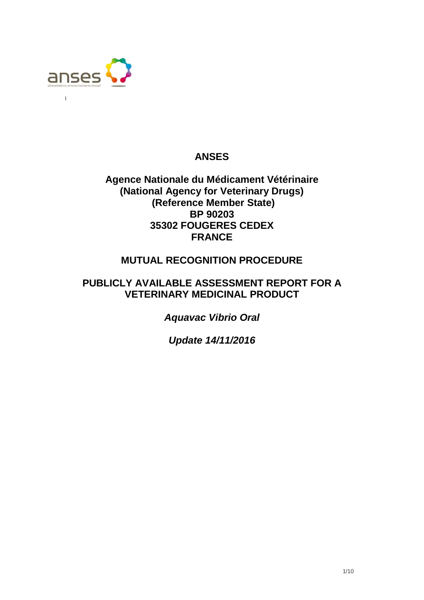

 $\mathbf{I}$ 

# **ANSES**

# **Agence Nationale du Médicament Vétérinaire (National Agency for Veterinary Drugs) (Reference Member State) BP 90203 35302 FOUGERES CEDEX FRANCE**

# **MUTUAL RECOGNITION PROCEDURE**

# **PUBLICLY AVAILABLE ASSESSMENT REPORT FOR A VETERINARY MEDICINAL PRODUCT**

*Aquavac Vibrio Oral*

*Update 14/11/2016*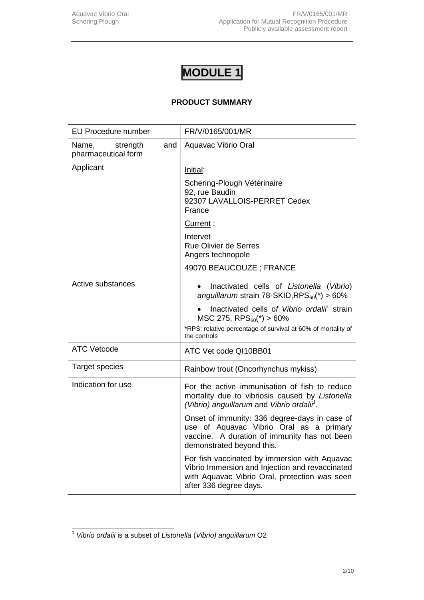# **PRODUCT SUMMARY**

| <b>EU Procedure number</b>                      | FR/V/0165/001/MR                                                                                                                                                                                                                                                                                                                                                                                                                                                                                                   |  |
|-------------------------------------------------|--------------------------------------------------------------------------------------------------------------------------------------------------------------------------------------------------------------------------------------------------------------------------------------------------------------------------------------------------------------------------------------------------------------------------------------------------------------------------------------------------------------------|--|
| Name,<br>strength<br>and<br>pharmaceutical form | Aquavac Vibrio Oral                                                                                                                                                                                                                                                                                                                                                                                                                                                                                                |  |
| Applicant                                       | Initial:<br>Schering-Plough Vétérinaire<br>92, rue Baudin<br>92307 LAVALLOIS-PERRET Cedex<br>France<br>Current:<br>Intervet<br><b>Rue Olivier de Serres</b><br>Angers technopole                                                                                                                                                                                                                                                                                                                                   |  |
|                                                 | 49070 BEAUCOUZE; FRANCE                                                                                                                                                                                                                                                                                                                                                                                                                                                                                            |  |
| Active substances                               | Inactivated cells of Listonella (Vibrio)<br>$\bullet$<br>anguillarum strain 78-SKID, $RPS_{60}(*) > 60\%$<br>Inactivated cells of Vibrio ordalii <sup>1</sup> strain<br>$MSC$ 275, RPS $_{60}$ (*) > 60%<br>*RPS: relative percentage of survival at 60% of mortality of<br>the controls                                                                                                                                                                                                                           |  |
| <b>ATC Vetcode</b>                              | ATC Vet code QI10BB01                                                                                                                                                                                                                                                                                                                                                                                                                                                                                              |  |
| <b>Target species</b>                           | Rainbow trout (Oncorhynchus mykiss)                                                                                                                                                                                                                                                                                                                                                                                                                                                                                |  |
| Indication for use                              | For the active immunisation of fish to reduce<br>mortality due to vibriosis caused by Listonella<br>(Vibrio) anguillarum and Vibrio ordalii <sup>1</sup> .<br>Onset of immunity: 336 degree-days in case of<br>use of Aquavac Vibrio Oral as a primary<br>vaccine. A duration of immunity has not been<br>demonstrated beyond this.<br>For fish vaccinated by immersion with Aquavac<br>Vibrio Immersion and Injection and revaccinated<br>with Aquavac Vibrio Oral, protection was seen<br>after 336 degree days. |  |

 1 *Vibrio ordalii* is a subset of *Listonella* (*Vibrio) anguillarum* O2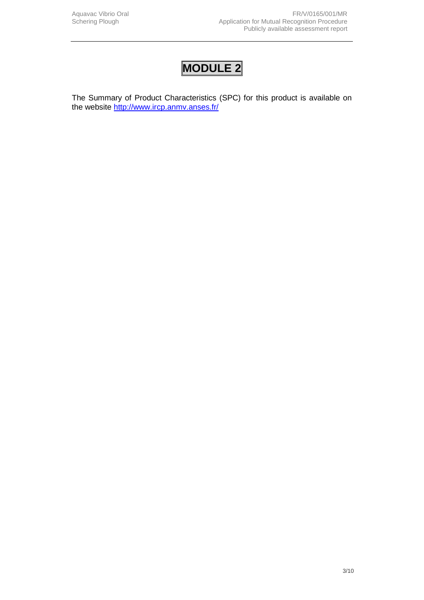The Summary of Product Characteristics (SPC) for this product is available on the website<http://www.ircp.anmv.anses.fr/>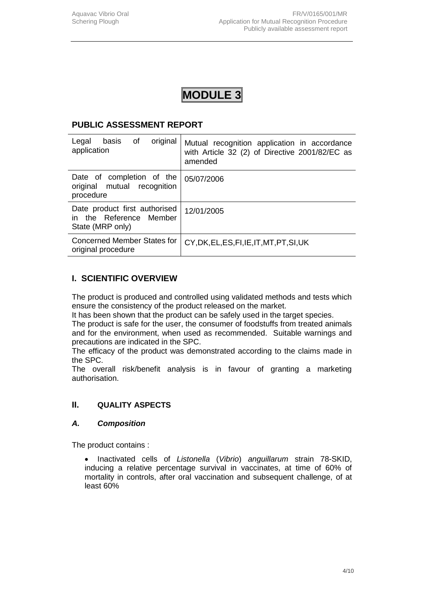## **PUBLIC ASSESSMENT REPORT**

| original<br>of<br>Legal<br>basis<br>application                              | Mutual recognition application in accordance<br>with Article 32 (2) of Directive 2001/82/EC as<br>amended |
|------------------------------------------------------------------------------|-----------------------------------------------------------------------------------------------------------|
| Date of completion of the<br>original mutual recognition<br>procedure        | 05/07/2006                                                                                                |
| Date product first authorised<br>in the Reference Member<br>State (MRP only) | 12/01/2005                                                                                                |
| <b>Concerned Member States for</b><br>original procedure                     | CY, DK, EL, ES, FI, IE, IT, MT, PT, SI, UK                                                                |

# **I. SCIENTIFIC OVERVIEW**

The product is produced and controlled using validated methods and tests which ensure the consistency of the product released on the market.

It has been shown that the product can be safely used in the target species.

The product is safe for the user, the consumer of foodstuffs from treated animals and for the environment, when used as recommended. Suitable warnings and precautions are indicated in the SPC.

The efficacy of the product was demonstrated according to the claims made in the SPC.

The overall risk/benefit analysis is in favour of granting a marketing authorisation.

## **II. QUALITY ASPECTS**

#### *A. Composition*

The product contains :

 Inactivated cells of *Listonella* (*Vibrio*) *anguillarum* strain 78-SKID, inducing a relative percentage survival in vaccinates, at time of 60% of mortality in controls, after oral vaccination and subsequent challenge, of at least 60%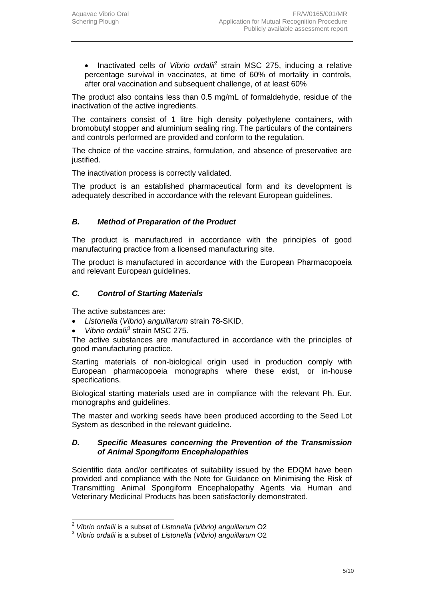• Inactivated cells of Vibrio ordali<sup>2</sup> strain MSC 275, inducing a relative percentage survival in vaccinates, at time of 60% of mortality in controls, after oral vaccination and subsequent challenge, of at least 60%

The product also contains less than 0.5 mg/mL of formaldehyde, residue of the inactivation of the active ingredients.

The containers consist of 1 litre high density polyethylene containers, with bromobutyl stopper and aluminium sealing ring. The particulars of the containers and controls performed are provided and conform to the regulation.

The choice of the vaccine strains, formulation, and absence of preservative are justified.

The inactivation process is correctly validated.

The product is an established pharmaceutical form and its development is adequately described in accordance with the relevant European guidelines.

### *B. Method of Preparation of the Product*

The product is manufactured in accordance with the principles of good manufacturing practice from a licensed manufacturing site*.*

The product is manufactured in accordance with the European Pharmacopoeia and relevant European guidelines.

### *C. Control of Starting Materials*

The active substances are:

- *Listonella* (*Vibrio*) *anguillarum* strain 78-SKID,
- *Vibrio ordalii*<sup>3</sup> strain MSC 275.

The active substances are manufactured in accordance with the principles of good manufacturing practice.

Starting materials of non-biological origin used in production comply with European pharmacopoeia monographs where these exist, or in-house specifications.

Biological starting materials used are in compliance with the relevant Ph. Eur. monographs and guidelines.

The master and working seeds have been produced according to the Seed Lot System as described in the relevant guideline.

#### *D. Specific Measures concerning the Prevention of the Transmission of Animal Spongiform Encephalopathies*

Scientific data and/or certificates of suitability issued by the EDQM have been provided and compliance with the Note for Guidance on Minimising the Risk of Transmitting Animal Spongiform Encephalopathy Agents via Human and Veterinary Medicinal Products has been satisfactorily demonstrated.

 2 *Vibrio ordalii* is a subset of *Listonella* (*Vibrio) anguillarum* O2

<sup>3</sup> *Vibrio ordalii* is a subset of *Listonella* (*Vibrio) anguillarum* O2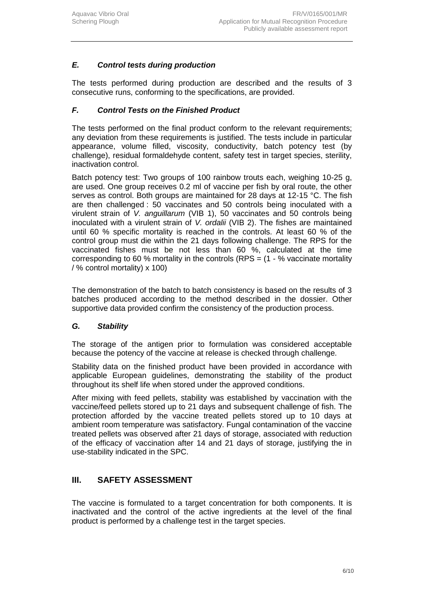# *E. Control tests during production*

The tests performed during production are described and the results of 3 consecutive runs, conforming to the specifications, are provided.

### *F. Control Tests on the Finished Product*

The tests performed on the final product conform to the relevant requirements; any deviation from these requirements is justified. The tests include in particular appearance, volume filled, viscosity, conductivity, batch potency test (by challenge), residual formaldehyde content, safety test in target species, sterility, inactivation control.

Batch potency test: Two groups of 100 rainbow trouts each, weighing 10-25 g, are used. One group receives 0.2 ml of vaccine per fish by oral route, the other serves as control. Both groups are maintained for 28 days at 12-15 °C. The fish are then challenged : 50 vaccinates and 50 controls being inoculated with a virulent strain of *V. anguillarum* (VIB 1), 50 vaccinates and 50 controls being inoculated with a virulent strain of *V. ordalii* (VIB 2). The fishes are maintained until 60 % specific mortality is reached in the controls. At least 60 % of the control group must die within the 21 days following challenge. The RPS for the vaccinated fishes must be not less than 60 %, calculated at the time corresponding to 60 % mortality in the controls (RPS =  $(1 - %)$  vaccinate mortality / % control mortality) x 100)

The demonstration of the batch to batch consistency is based on the results of 3 batches produced according to the method described in the dossier. Other supportive data provided confirm the consistency of the production process.

#### *G. Stability*

The storage of the antigen prior to formulation was considered acceptable because the potency of the vaccine at release is checked through challenge.

Stability data on the finished product have been provided in accordance with applicable European guidelines, demonstrating the stability of the product throughout its shelf life when stored under the approved conditions.

After mixing with feed pellets, stability was established by vaccination with the vaccine/feed pellets stored up to 21 days and subsequent challenge of fish. The protection afforded by the vaccine treated pellets stored up to 10 days at ambient room temperature was satisfactory. Fungal contamination of the vaccine treated pellets was observed after 21 days of storage, associated with reduction of the efficacy of vaccination after 14 and 21 days of storage, justifying the in use-stability indicated in the SPC.

## **III. SAFETY ASSESSMENT**

The vaccine is formulated to a target concentration for both components. It is inactivated and the control of the active ingredients at the level of the final product is performed by a challenge test in the target species.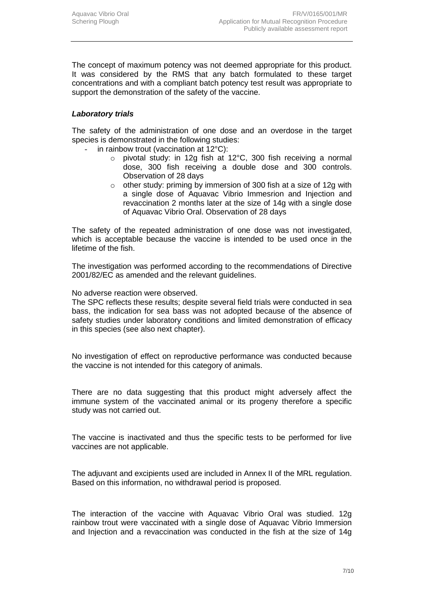The concept of maximum potency was not deemed appropriate for this product. It was considered by the RMS that any batch formulated to these target concentrations and with a compliant batch potency test result was appropriate to support the demonstration of the safety of the vaccine.

#### *Laboratory trials*

The safety of the administration of one dose and an overdose in the target species is demonstrated in the following studies:

- in rainbow trout (vaccination at  $12^{\circ}$ C):
	- o pivotal study: in 12g fish at 12°C, 300 fish receiving a normal dose, 300 fish receiving a double dose and 300 controls. Observation of 28 days
	- o other study: priming by immersion of 300 fish at a size of 12g with a single dose of Aquavac Vibrio Immesrion and Injection and revaccination 2 months later at the size of 14g with a single dose of Aquavac Vibrio Oral. Observation of 28 days

The safety of the repeated administration of one dose was not investigated, which is acceptable because the vaccine is intended to be used once in the lifetime of the fish.

The investigation was performed according to the recommendations of Directive 2001/82/EC as amended and the relevant guidelines.

No adverse reaction were observed.

The SPC reflects these results; despite several field trials were conducted in sea bass, the indication for sea bass was not adopted because of the absence of safety studies under laboratory conditions and limited demonstration of efficacy in this species (see also next chapter).

No investigation of effect on reproductive performance was conducted because the vaccine is not intended for this category of animals.

There are no data suggesting that this product might adversely affect the immune system of the vaccinated animal or its progeny therefore a specific study was not carried out.

The vaccine is inactivated and thus the specific tests to be performed for live vaccines are not applicable.

The adjuvant and excipients used are included in Annex II of the MRL regulation. Based on this information, no withdrawal period is proposed.

The interaction of the vaccine with Aquavac Vibrio Oral was studied. 12g rainbow trout were vaccinated with a single dose of Aquavac Vibrio Immersion and Injection and a revaccination was conducted in the fish at the size of 14g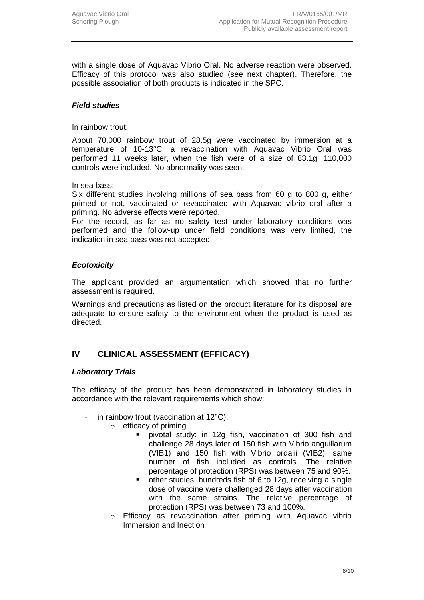with a single dose of Aquavac Vibrio Oral. No adverse reaction were observed. Efficacy of this protocol was also studied (see next chapter). Therefore, the possible association of both products is indicated in the SPC.

### *Field studies*

In rainbow trout:

About 70,000 rainbow trout of 28.5g were vaccinated by immersion at a temperature of 10-13°C; a revaccination with Aquavac Vibrio Oral was performed 11 weeks later, when the fish were of a size of 83.1g. 110,000 controls were included. No abnormality was seen.

In sea bass:

Six different studies involving millions of sea bass from 60 g to 800 g, either primed or not, vaccinated or revaccinated with Aquavac vibrio oral after a priming. No adverse effects were reported.

For the record, as far as no safety test under laboratory conditions was performed and the follow-up under field conditions was very limited, the indication in sea bass was not accepted.

#### *Ecotoxicity*

The applicant provided an argumentation which showed that no further assessment is required.

Warnings and precautions as listed on the product literature for its disposal are adequate to ensure safety to the environment when the product is used as directed.

# **IV CLINICAL ASSESSMENT (EFFICACY)**

#### *Laboratory Trials*

The efficacy of the product has been demonstrated in laboratory studies in accordance with the relevant requirements which show:

- in rainbow trout (vaccination at  $12^{\circ}$ C):
	- $\circ$  efficacy of priming
		- pivotal study: in 12g fish, vaccination of 300 fish and challenge 28 days later of 150 fish with Vibrio anguillarum (VIB1) and 150 fish with Vibrio ordalii (VIB2); same number of fish included as controls. The relative percentage of protection (RPS) was between 75 and 90%.
		- other studies: hundreds fish of 6 to 12g, receiving a single dose of vaccine were challenged 28 days after vaccination with the same strains. The relative percentage of protection (RPS) was between 73 and 100%.
	- o Efficacy as revaccination after priming with Aquavac vibrio Immersion and Inection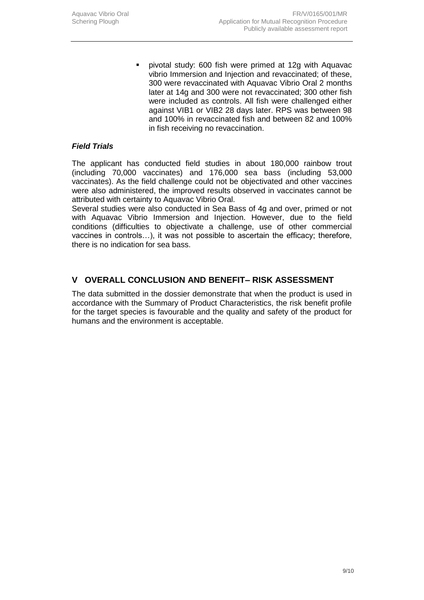pivotal study: 600 fish were primed at 12g with Aquavac vibrio Immersion and Injection and revaccinated; of these, 300 were revaccinated with Aquavac Vibrio Oral 2 months later at 14g and 300 were not revaccinated; 300 other fish were included as controls. All fish were challenged either against VIB1 or VIB2 28 days later. RPS was between 98 and 100% in revaccinated fish and between 82 and 100% in fish receiving no revaccination.

### *Field Trials*

The applicant has conducted field studies in about 180,000 rainbow trout (including 70,000 vaccinates) and 176,000 sea bass (including 53,000 vaccinates). As the field challenge could not be objectivated and other vaccines were also administered, the improved results observed in vaccinates cannot be attributed with certainty to Aquavac Vibrio Oral.

Several studies were also conducted in Sea Bass of 4g and over, primed or not with Aquavac Vibrio Immersion and Injection. However, due to the field conditions (difficulties to objectivate a challenge, use of other commercial vaccines in controls…), it was not possible to ascertain the efficacy; therefore, there is no indication for sea bass.

# **V OVERALL CONCLUSION AND BENEFIT– RISK ASSESSMENT**

The data submitted in the dossier demonstrate that when the product is used in accordance with the Summary of Product Characteristics, the risk benefit profile for the target species is favourable and the quality and safety of the product for humans and the environment is acceptable.